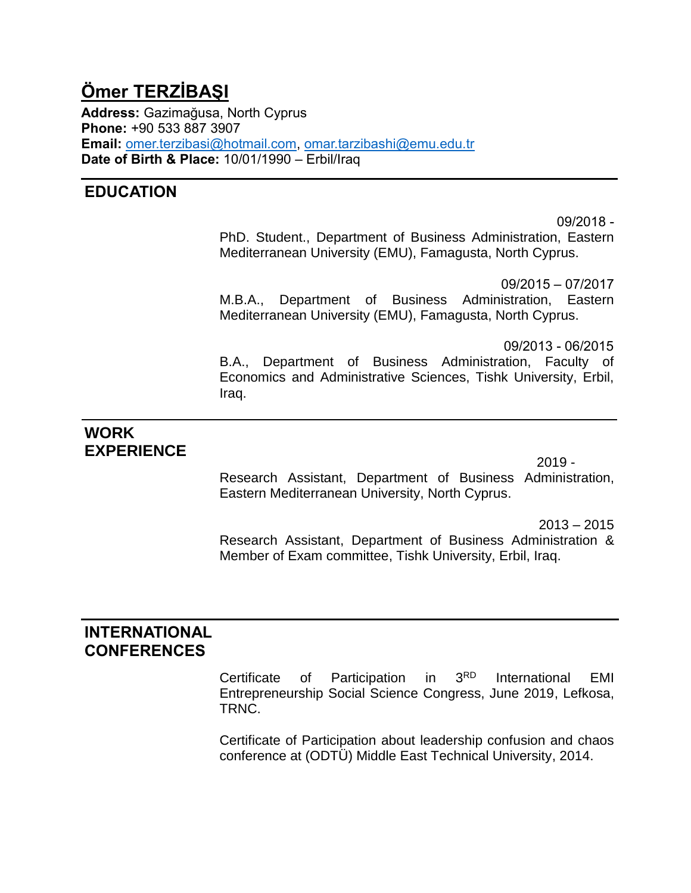# **Ömer TERZİBAŞI**

**Address:** Gazimağusa, North Cyprus **Phone:** +90 533 887 3907 **Email:** [omer.terzibasi@hotmail.com,](mailto:omer.terzibasi@hotmail.com) [omar.tarzibashi@emu.edu.tr](mailto:omar.tarzibashi@emu.edu.tr) **Date of Birth & Place:** 10/01/1990 – Erbil/Iraq

## **EDUCATION**

09/2018 - PhD. Student., Department of Business Administration, Eastern Mediterranean University (EMU), Famagusta, North Cyprus.

09/2015 – 07/2017 M.B.A., Department of Business Administration, Eastern Mediterranean University (EMU), Famagusta, North Cyprus.

 09/2013 - 06/2015 B.A., Department of Business Administration, Faculty of Economics and Administrative Sciences, Tishk University, Erbil, Iraq.

# **WORK EXPERIENCE**

 $2019 -$ Research Assistant, Department of Business Administration, Eastern Mediterranean University, North Cyprus.

 $2013 - 2015$ 

Research Assistant, Department of Business Administration & Member of Exam committee, Tishk University, Erbil, Iraq.

### **INTERNATIONAL CONFERENCES**

Certificate of Participation in 3RD International EMI Entrepreneurship Social Science Congress, June 2019, Lefkosa, TRNC.

Certificate of Participation about leadership confusion and chaos conference at (ODTÜ) Middle East Technical University, 2014.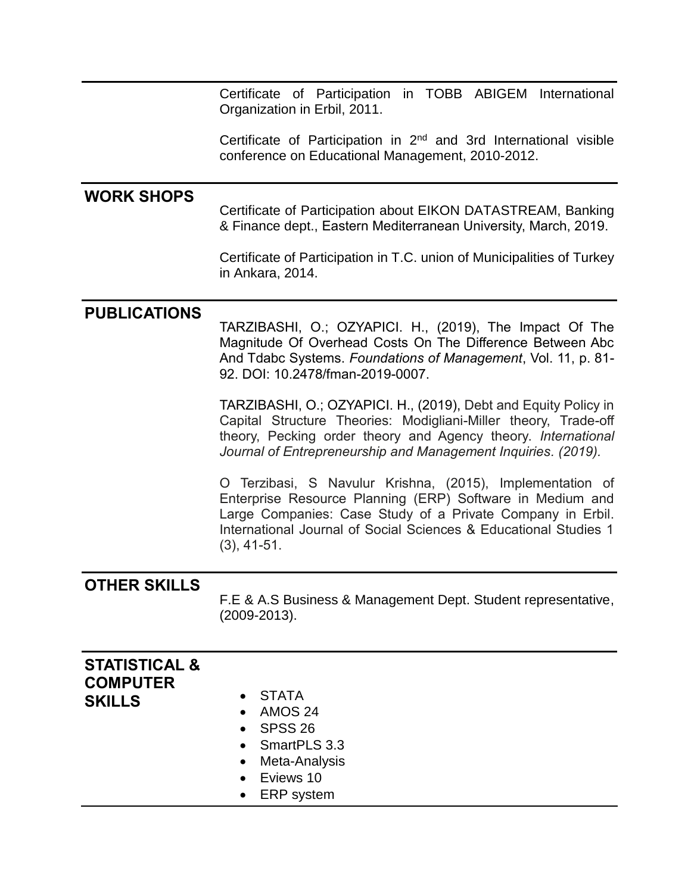Certificate of Participation in TOBB ABIGEM International Organization in Erbil, 2011.

Certificate of Participation in 2nd and 3rd International visible conference on Educational Management, 2010-2012.

#### **WORK SHOPS**

Certificate of Participation about EIKON DATASTREAM, Banking & Finance dept., Eastern Mediterranean University, March, 2019.

Certificate of Participation in T.C. union of Municipalities of Turkey in Ankara, 2014.

#### **PUBLICATIONS**

TARZIBASHI, O.; OZYAPICI. H., (2019), The Impact Of The Magnitude Of Overhead Costs On The Difference Between Abc And Tdabc Systems. *Foundations of Management*, Vol. 11, p. 81- 92. DOI: 10.2478/fman-2019-0007.

TARZIBASHI, O.; OZYAPICI. H., (2019), Debt and Equity Policy in Capital Structure Theories: Modigliani-Miller theory, Trade-off theory, Pecking order theory and Agency theory. *International Journal of Entrepreneurship and Management Inquiries. (2019).*

O Terzibasi, S Navulur Krishna, (2015), Implementation of Enterprise Resource Planning (ERP) Software in Medium and Large Companies: Case Study of a Private Company in Erbil. International Journal of Social Sciences & Educational Studies 1 (3), 41-51.

#### **OTHER SKILLS**

F.E & A.S Business & Management Dept. Student representative, (2009-2013).

| <b>STATISTICAL &amp;</b><br><b>COMPUTER</b> |                            |
|---------------------------------------------|----------------------------|
| <b>SKILLS</b>                               | • STATA                    |
|                                             | AMOS 24<br>$\bullet$       |
|                                             | $\bullet$ SPSS 26          |
|                                             | • SmartPLS 3.3             |
|                                             | Meta-Analysis<br>$\bullet$ |
|                                             | Eviews 10<br>$\bullet$     |
|                                             | ERP system<br>$\bullet$    |